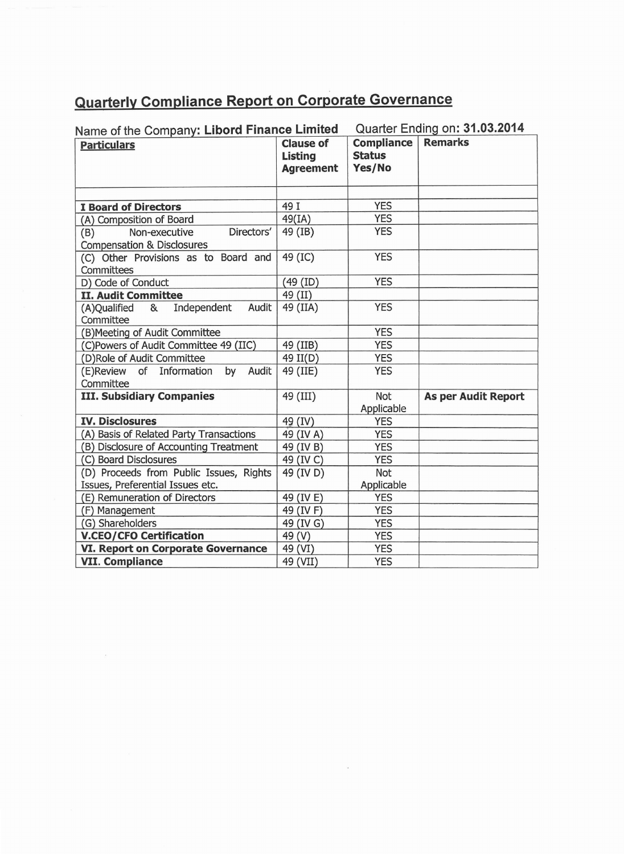## **Quarterly Compliance Report on Corporate Governance**

| Name of the Company: Libord Finance Limited                                 |                                                        | Quarter Ending on: 31.03.2014                |                            |
|-----------------------------------------------------------------------------|--------------------------------------------------------|----------------------------------------------|----------------------------|
| <b>Particulars</b>                                                          | <b>Clause of</b><br><b>Listing</b><br><b>Agreement</b> | <b>Compliance</b><br><b>Status</b><br>Yes/No | <b>Remarks</b>             |
|                                                                             |                                                        |                                              |                            |
| <b>I Board of Directors</b>                                                 | 49 I                                                   | <b>YES</b>                                   |                            |
| (A) Composition of Board                                                    | 49(IA)                                                 | <b>YES</b>                                   |                            |
| Directors'<br>Non-executive<br>(B)<br><b>Compensation &amp; Disclosures</b> | 49 (IB)                                                | <b>YES</b>                                   |                            |
| (C) Other Provisions as to Board and<br>Committees                          | 49 (IC)                                                | <b>YES</b>                                   |                            |
| D) Code of Conduct                                                          | (49 (ID)                                               | <b>YES</b>                                   |                            |
| <b>II. Audit Committee</b>                                                  | 49 (II)                                                |                                              |                            |
| Independent<br>Audit<br>(A)Qualified<br>&<br>Committee                      | 49 (IIA)                                               | <b>YES</b>                                   |                            |
| (B) Meeting of Audit Committee                                              |                                                        | <b>YES</b>                                   |                            |
| (C)Powers of Audit Committee 49 (IIC)                                       | 49 (IIB)                                               | <b>YES</b>                                   |                            |
| (D)Role of Audit Committee                                                  | 49 II(D)                                               | <b>YES</b>                                   |                            |
| (E)Review of Information<br>by Audit<br>Committee                           | 49 (IIE)                                               | <b>YES</b>                                   |                            |
| <b>III. Subsidiary Companies</b>                                            | 49 (III)                                               | Not<br>Applicable                            | <b>As per Audit Report</b> |
| <b>IV. Disclosures</b>                                                      | 49 (IV)                                                | <b>YES</b>                                   |                            |
| (A) Basis of Related Party Transactions                                     | 49 (IV A)                                              | <b>YES</b>                                   |                            |
| (B) Disclosure of Accounting Treatment                                      | 49 (IV B)                                              | <b>YES</b>                                   |                            |
| (C) Board Disclosures                                                       | 49 (IV C)                                              | <b>YES</b>                                   |                            |
| (D) Proceeds from Public Issues, Rights<br>Issues, Preferential Issues etc. | 49 (IV D)                                              | Not<br>Applicable                            |                            |
| (E) Remuneration of Directors                                               | 49 (IV E)                                              | <b>YES</b>                                   |                            |
| (F) Management                                                              | 49 (IV F)                                              | <b>YES</b>                                   |                            |
| (G) Shareholders                                                            | 49 (IV G)                                              | <b>YES</b>                                   |                            |
| <b>V.CEO/CFO Certification</b>                                              | 49 (V)                                                 | <b>YES</b>                                   |                            |
| <b>VI. Report on Corporate Governance</b>                                   | 49 (VI)                                                | <b>YES</b>                                   |                            |
| <b>VII. Compliance</b>                                                      | 49 (VII)                                               | <b>YES</b>                                   |                            |

 $\bar{\alpha}$